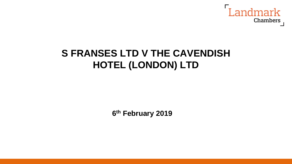

## **S FRANSES LTD V THE CAVENDISH HOTEL (LONDON) LTD**

**6 th February 2019**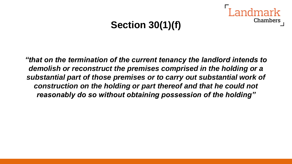## **Section 30(1)(f)**

Chambers

*"that on the termination of the current tenancy the landlord intends to demolish or reconstruct the premises comprised in the holding or a substantial part of those premises or to carry out substantial work of construction on the holding or part thereof and that he could not reasonably do so without obtaining possession of the holding"*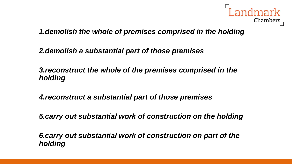

*1.demolish the whole of premises comprised in the holding*

*2.demolish a substantial part of those premises*

*3.reconstruct the whole of the premises comprised in the holding*

*4.reconstruct a substantial part of those premises* 

*5.carry out substantial work of construction on the holding*

*6.carry out substantial work of construction on part of the holding*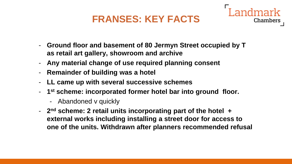## **FRANSES: KEY FACTS**

Chambers



- **Any material change of use required planning consent**
- **Remainder of building was a hotel**
- **LL came up with several successive schemes**
- **1 st scheme: incorporated former hotel bar into ground floor.** 
	- Abandoned v quickly
- **2 nd scheme: 2 retail units incorporating part of the hotel + external works including installing a street door for access to one of the units. Withdrawn after planners recommended refusal**